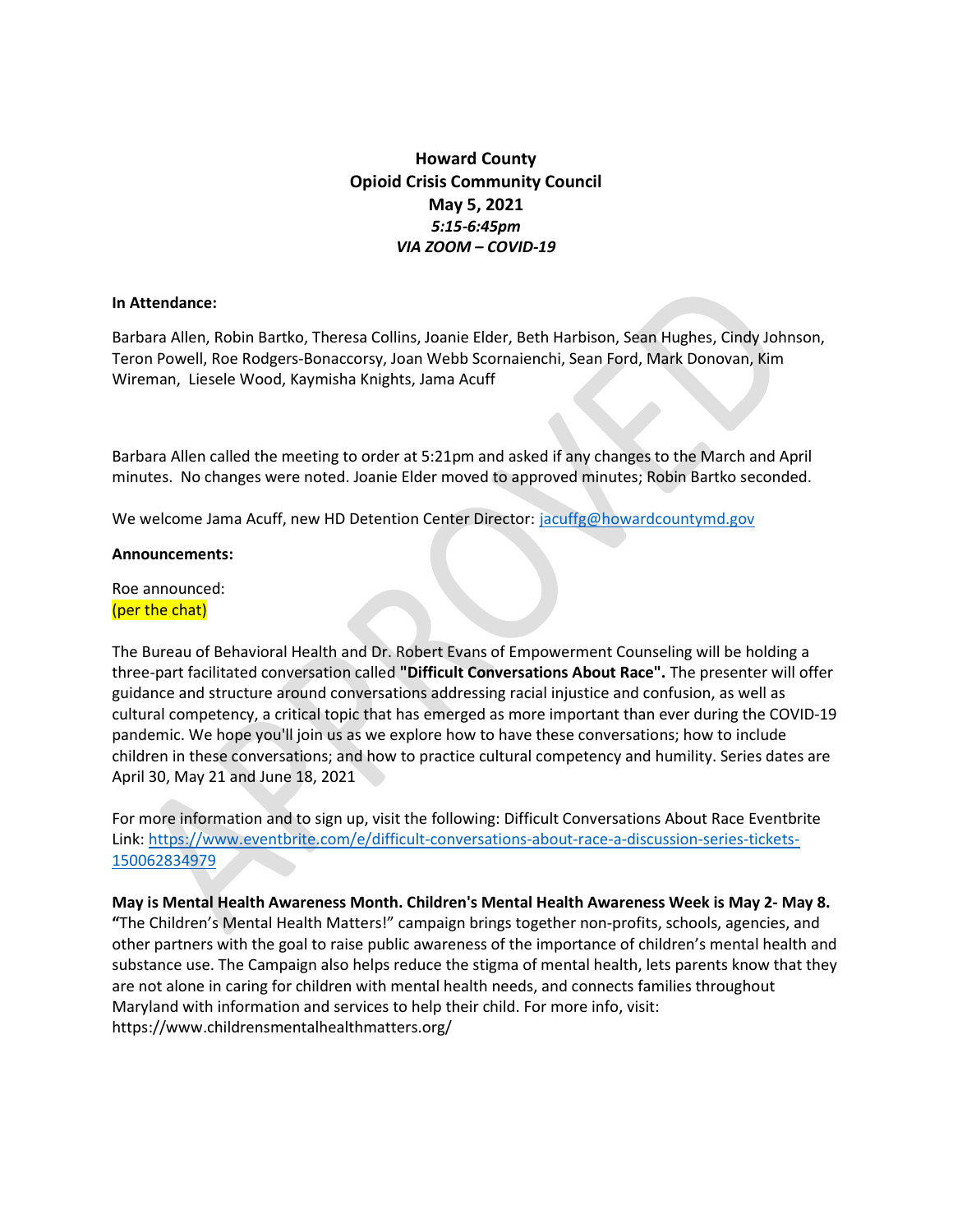# Howard County Opioid Crisis Community Council May 5, 2021 5:15-6:45pm VIA ZOOM – COVID-19

#### In Attendance:

Barbara Allen, Robin Bartko, Theresa Collins, Joanie Elder, Beth Harbison, Sean Hughes, Cindy Johnson, Teron Powell, Roe Rodgers-Bonaccorsy, Joan Webb Scornaienchi, Sean Ford, Mark Donovan, Kim Wireman, Liesele Wood, Kaymisha Knights, Jama Acuff

Barbara Allen called the meeting to order at 5:21pm and asked if any changes to the March and April minutes. No changes were noted. Joanie Elder moved to approved minutes; Robin Bartko seconded.

We welcome Jama Acuff, new HD Detention Center Director: jacuffg@howardcountymd.gov

#### Announcements:

Roe announced: (per the chat)

The Bureau of Behavioral Health and Dr. Robert Evans of Empowerment Counseling will be holding a three-part facilitated conversation called "Difficult Conversations About Race". The presenter will offer guidance and structure around conversations addressing racial injustice and confusion, as well as cultural competency, a critical topic that has emerged as more important than ever during the COVID-19 pandemic. We hope you'll join us as we explore how to have these conversations; how to include children in these conversations; and how to practice cultural competency and humility. Series dates are April 30, May 21 and June 18, 2021

For more information and to sign up, visit the following: Difficult Conversations About Race Eventbrite Link: https://www.eventbrite.com/e/difficult-conversations-about-race-a-discussion-series-tickets-150062834979

May is Mental Health Awareness Month. Children's Mental Health Awareness Week is May 2- May 8. "The Children's Mental Health Matters!" campaign brings together non-profits, schools, agencies, and other partners with the goal to raise public awareness of the importance of children's mental health and substance use. The Campaign also helps reduce the stigma of mental health, lets parents know that they are not alone in caring for children with mental health needs, and connects families throughout Maryland with information and services to help their child. For more info, visit: https://www.childrensmentalhealthmatters.org/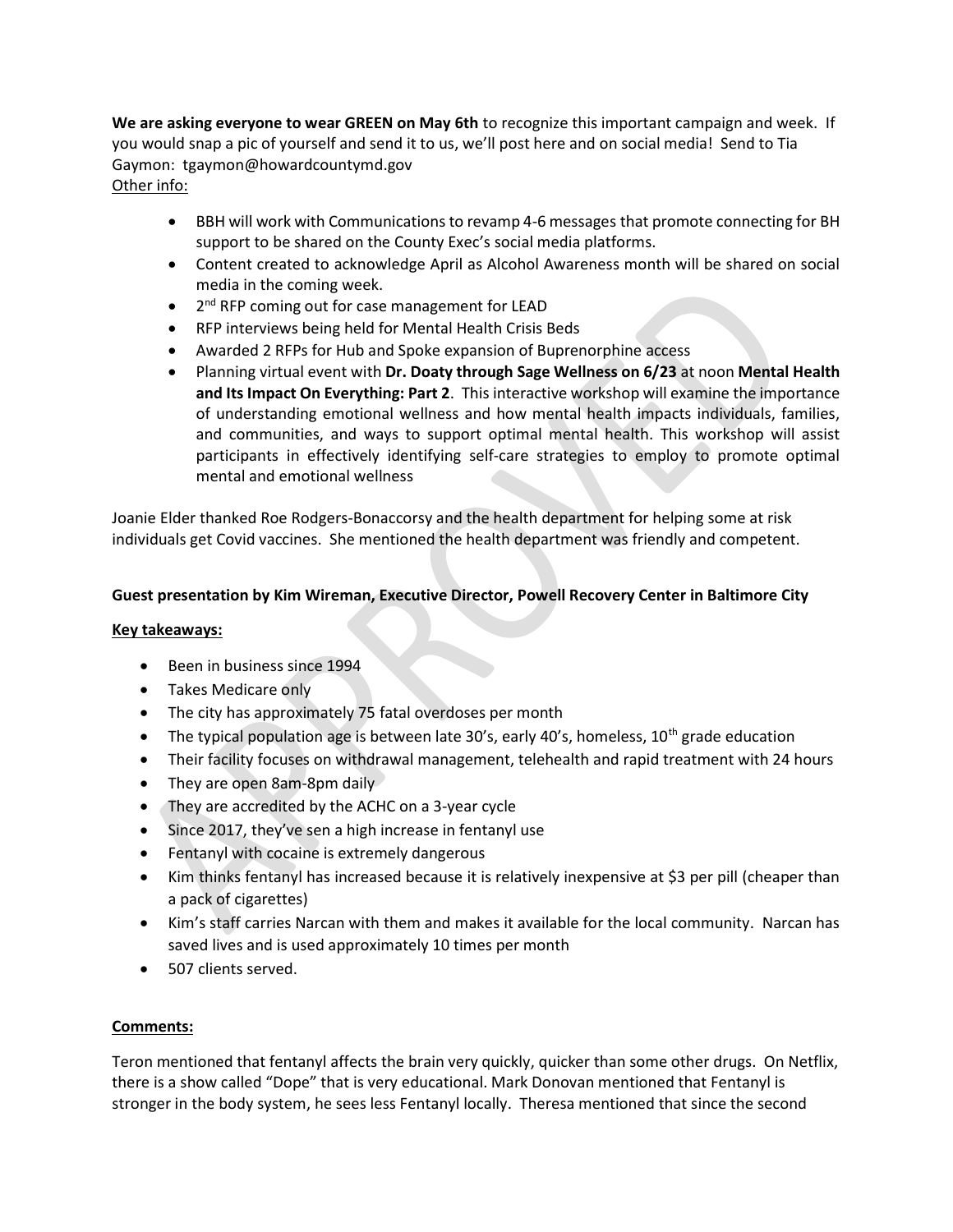We are asking everyone to wear GREEN on May 6th to recognize this important campaign and week. If you would snap a pic of yourself and send it to us, we'll post here and on social media! Send to Tia Gaymon: tgaymon@howardcountymd.gov Other info:

- BBH will work with Communications to revamp 4-6 messages that promote connecting for BH support to be shared on the County Exec's social media platforms.
- Content created to acknowledge April as Alcohol Awareness month will be shared on social media in the coming week.
- 2<sup>nd</sup> RFP coming out for case management for LEAD
- RFP interviews being held for Mental Health Crisis Beds
- Awarded 2 RFPs for Hub and Spoke expansion of Buprenorphine access
- Planning virtual event with Dr. Doaty through Sage Wellness on 6/23 at noon Mental Health and Its Impact On Everything: Part 2. This interactive workshop will examine the importance of understanding emotional wellness and how mental health impacts individuals, families, and communities, and ways to support optimal mental health. This workshop will assist participants in effectively identifying self-care strategies to employ to promote optimal mental and emotional wellness

Joanie Elder thanked Roe Rodgers-Bonaccorsy and the health department for helping some at risk individuals get Covid vaccines. She mentioned the health department was friendly and competent.

## Guest presentation by Kim Wireman, Executive Director, Powell Recovery Center in Baltimore City

### Key takeaways:

- Been in business since 1994
- Takes Medicare only
- The city has approximately 75 fatal overdoses per month
- The typical population age is between late 30's, early 40's, homeless,  $10^{th}$  grade education
- Their facility focuses on withdrawal management, telehealth and rapid treatment with 24 hours
- They are open 8am-8pm daily
- They are accredited by the ACHC on a 3-year cycle
- Since 2017, they've sen a high increase in fentanyl use
- Fentanyl with cocaine is extremely dangerous
- Kim thinks fentanyl has increased because it is relatively inexpensive at \$3 per pill (cheaper than a pack of cigarettes)
- Kim's staff carries Narcan with them and makes it available for the local community. Narcan has saved lives and is used approximately 10 times per month
- 507 clients served.

## Comments:

Teron mentioned that fentanyl affects the brain very quickly, quicker than some other drugs. On Netflix, there is a show called "Dope" that is very educational. Mark Donovan mentioned that Fentanyl is stronger in the body system, he sees less Fentanyl locally. Theresa mentioned that since the second